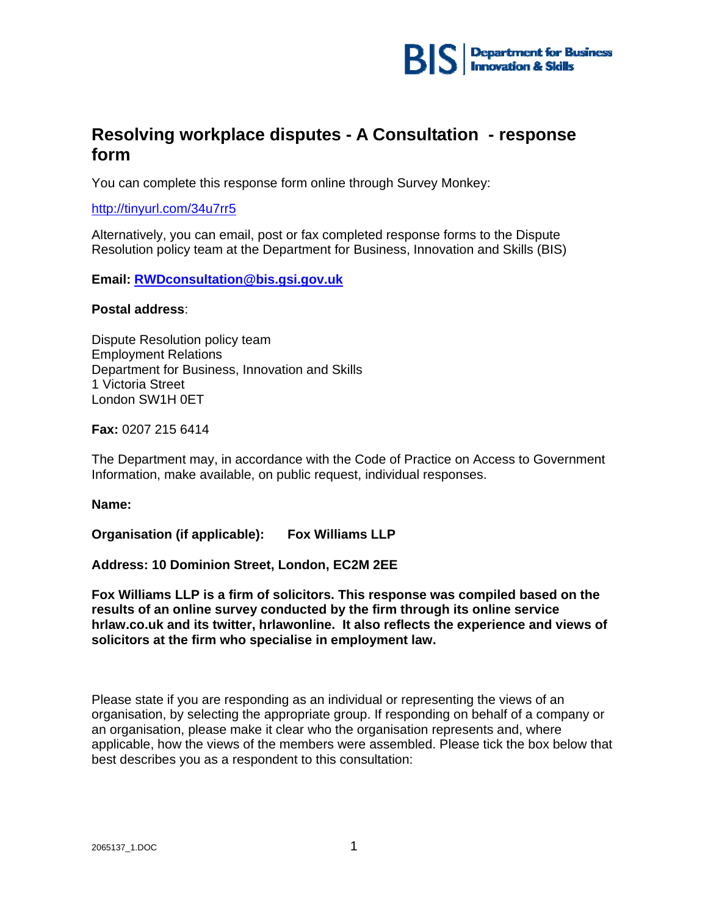

### **Resolving workplace disputes - A Consultation - response form**

You can complete this response form online through Survey Monkey:

### http://tinyurl.com/34u7rr5

Alternatively, you can email, post or fax completed response forms to the Dispute Resolution policy team at the Department for Business, Innovation and Skills (BIS)

**Email: RWDconsultation@bis.gsi.gov.uk** 

#### **Postal address**:

Dispute Resolution policy team Employment Relations Department for Business, Innovation and Skills 1 Victoria Street London SW1H 0ET

**Fax:** 0207 215 6414

The Department may, in accordance with the Code of Practice on Access to Government Information, make available, on public request, individual responses.

**Name:** 

**Organisation (if applicable): Fox Williams LLP** 

### **Address: 10 Dominion Street, London, EC2M 2EE**

**Fox Williams LLP is a firm of solicitors. This response was compiled based on the results of an online survey conducted by the firm through its online service hrlaw.co.uk and its twitter, hrlawonline. It also reflects the experience and views of solicitors at the firm who specialise in employment law.** 

Please state if you are responding as an individual or representing the views of an organisation, by selecting the appropriate group. If responding on behalf of a company or an organisation, please make it clear who the organisation represents and, where applicable, how the views of the members were assembled. Please tick the box below that best describes you as a respondent to this consultation: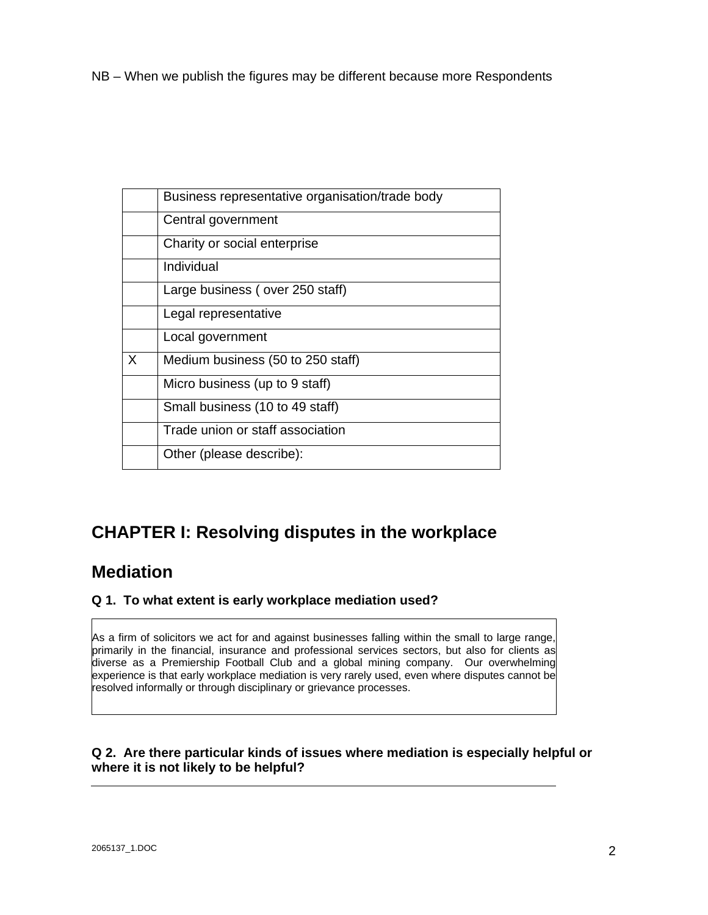NB – When we publish the figures may be different because more Respondents

|   | Business representative organisation/trade body |
|---|-------------------------------------------------|
|   | Central government                              |
|   | Charity or social enterprise                    |
|   | Individual                                      |
|   | Large business (over 250 staff)                 |
|   | Legal representative                            |
|   | Local government                                |
| X | Medium business (50 to 250 staff)               |
|   | Micro business (up to 9 staff)                  |
|   | Small business (10 to 49 staff)                 |
|   | Trade union or staff association                |
|   | Other (please describe):                        |

# **CHAPTER I: Resolving disputes in the workplace**

### **Mediation**

### **Q 1. To what extent is early workplace mediation used?**

As a firm of solicitors we act for and against businesses falling within the small to large range, primarily in the financial, insurance and professional services sectors, but also for clients as diverse as a Premiership Football Club and a global mining company. Our overwhelming experience is that early workplace mediation is very rarely used, even where disputes cannot be resolved informally or through disciplinary or grievance processes.

### **Q 2. Are there particular kinds of issues where mediation is especially helpful or where it is not likely to be helpful?**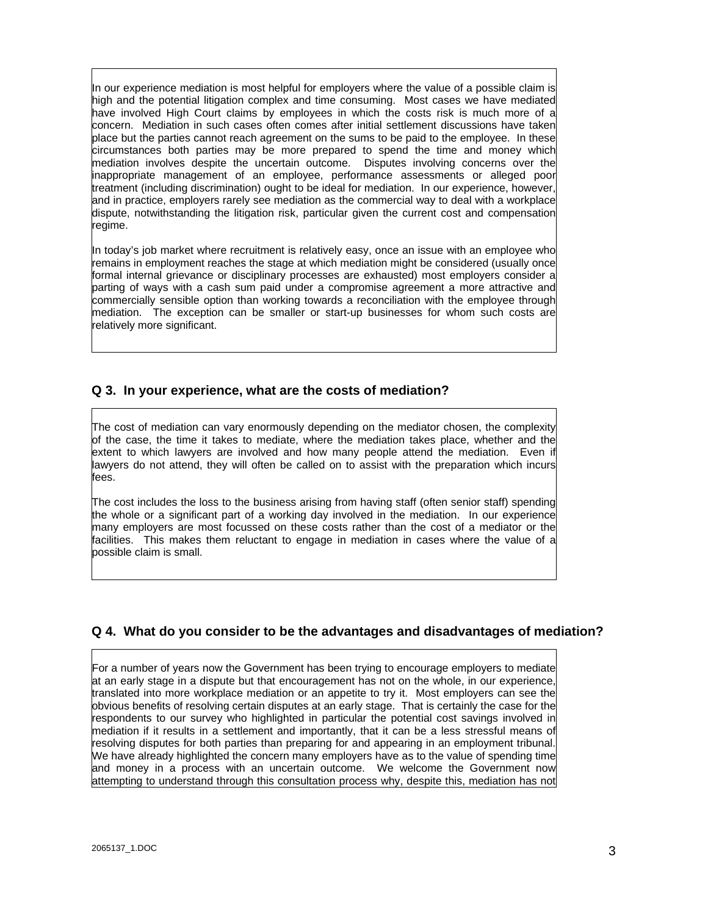In our experience mediation is most helpful for employers where the value of a possible claim is high and the potential litigation complex and time consuming. Most cases we have mediated have involved High Court claims by employees in which the costs risk is much more of a concern. Mediation in such cases often comes after initial settlement discussions have taken place but the parties cannot reach agreement on the sums to be paid to the employee. In these circumstances both parties may be more prepared to spend the time and money which mediation involves despite the uncertain outcome. Disputes involving concerns over the inappropriate management of an employee, performance assessments or alleged poor treatment (including discrimination) ought to be ideal for mediation. In our experience, however, and in practice, employers rarely see mediation as the commercial way to deal with a workplace dispute, notwithstanding the litigation risk, particular given the current cost and compensation regime.

In today's job market where recruitment is relatively easy, once an issue with an employee who remains in employment reaches the stage at which mediation might be considered (usually once formal internal grievance or disciplinary processes are exhausted) most employers consider a parting of ways with a cash sum paid under a compromise agreement a more attractive and commercially sensible option than working towards a reconciliation with the employee through mediation. The exception can be smaller or start-up businesses for whom such costs are relatively more significant.

### **Q 3. In your experience, what are the costs of mediation?**

The cost of mediation can vary enormously depending on the mediator chosen, the complexity of the case, the time it takes to mediate, where the mediation takes place, whether and the extent to which lawyers are involved and how many people attend the mediation. Even if lawyers do not attend, they will often be called on to assist with the preparation which incurs fees.

The cost includes the loss to the business arising from having staff (often senior staff) spending the whole or a significant part of a working day involved in the mediation. In our experience many employers are most focussed on these costs rather than the cost of a mediator or the facilities. This makes them reluctant to engage in mediation in cases where the value of a possible claim is small.

### **Q 4. What do you consider to be the advantages and disadvantages of mediation?**

For a number of years now the Government has been trying to encourage employers to mediate at an early stage in a dispute but that encouragement has not on the whole, in our experience, translated into more workplace mediation or an appetite to try it. Most employers can see the obvious benefits of resolving certain disputes at an early stage. That is certainly the case for the respondents to our survey who highlighted in particular the potential cost savings involved in mediation if it results in a settlement and importantly, that it can be a less stressful means of resolving disputes for both parties than preparing for and appearing in an employment tribunal. We have already highlighted the concern many employers have as to the value of spending time and money in a process with an uncertain outcome. We welcome the Government now attempting to understand through this consultation process why, despite this, mediation has not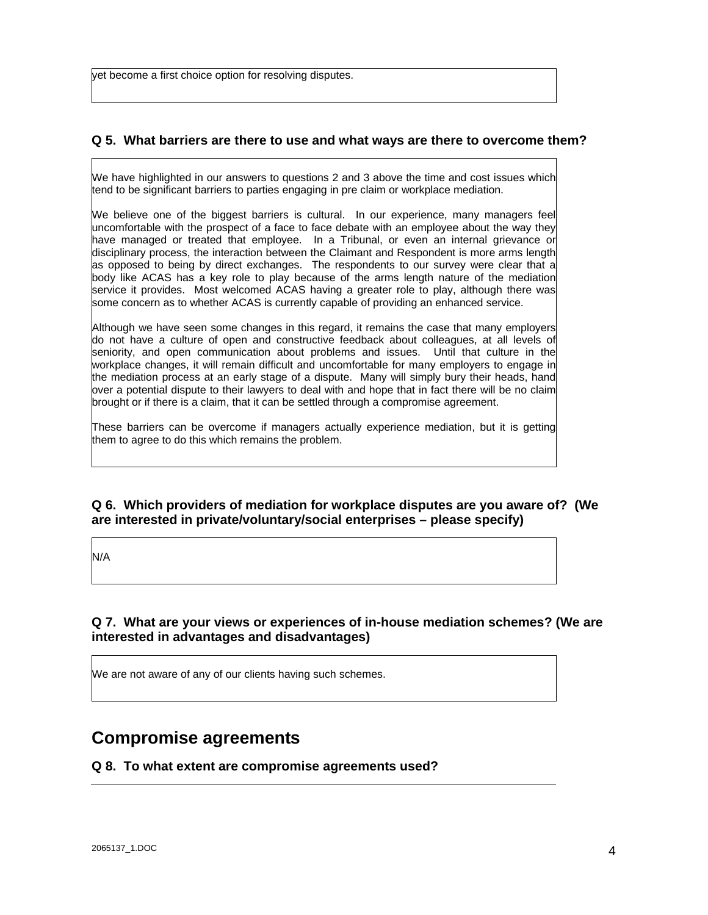yet become a first choice option for resolving disputes.

### **Q 5. What barriers are there to use and what ways are there to overcome them?**

We have highlighted in our answers to questions 2 and 3 above the time and cost issues which tend to be significant barriers to parties engaging in pre claim or workplace mediation.

We believe one of the biggest barriers is cultural. In our experience, many managers feel uncomfortable with the prospect of a face to face debate with an employee about the way they have managed or treated that employee. In a Tribunal, or even an internal grievance or disciplinary process, the interaction between the Claimant and Respondent is more arms length as opposed to being by direct exchanges. The respondents to our survey were clear that a body like ACAS has a key role to play because of the arms length nature of the mediation service it provides. Most welcomed ACAS having a greater role to play, although there was some concern as to whether ACAS is currently capable of providing an enhanced service.

Although we have seen some changes in this regard, it remains the case that many employers do not have a culture of open and constructive feedback about colleagues, at all levels of seniority, and open communication about problems and issues. Until that culture in the workplace changes, it will remain difficult and uncomfortable for many employers to engage in the mediation process at an early stage of a dispute. Many will simply bury their heads, hand over a potential dispute to their lawyers to deal with and hope that in fact there will be no claim brought or if there is a claim, that it can be settled through a compromise agreement.

These barriers can be overcome if managers actually experience mediation, but it is getting them to agree to do this which remains the problem.

### **Q 6. Which providers of mediation for workplace disputes are you aware of? (We are interested in private/voluntary/social enterprises – please specify)**

N/A

### **Q 7. What are your views or experiences of in-house mediation schemes? (We are interested in advantages and disadvantages)**

We are not aware of any of our clients having such schemes.

### **Compromise agreements**

### **Q 8. To what extent are compromise agreements used?**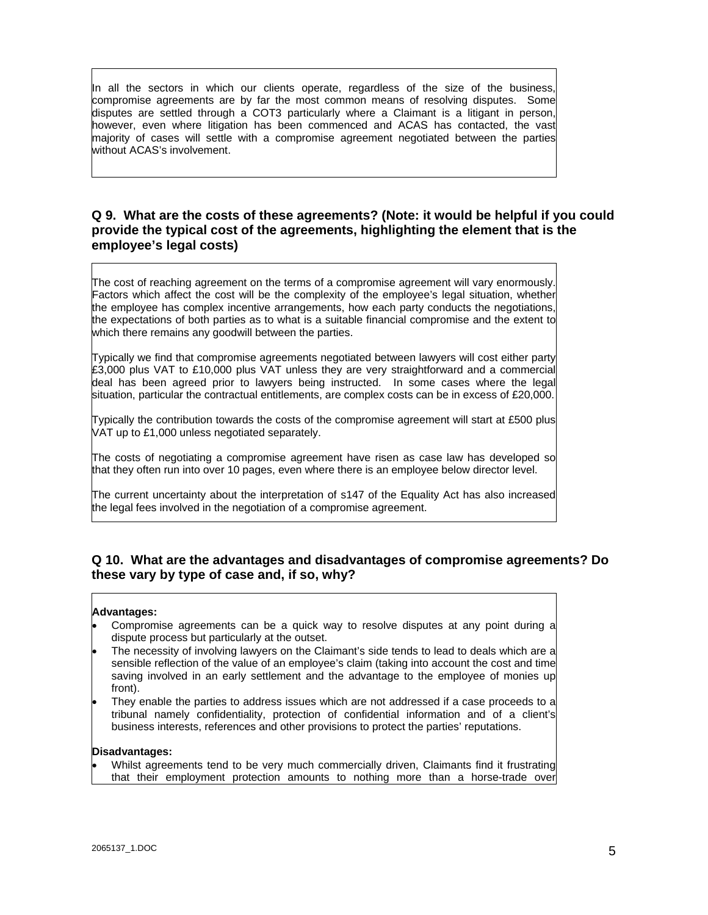In all the sectors in which our clients operate, regardless of the size of the business, compromise agreements are by far the most common means of resolving disputes. Some disputes are settled through a COT3 particularly where a Claimant is a litigant in person, however, even where litigation has been commenced and ACAS has contacted, the vast majority of cases will settle with a compromise agreement negotiated between the parties without ACAS's involvement.

### **Q 9. What are the costs of these agreements? (Note: it would be helpful if you could provide the typical cost of the agreements, highlighting the element that is the employee's legal costs)**

The cost of reaching agreement on the terms of a compromise agreement will vary enormously. Factors which affect the cost will be the complexity of the employee's legal situation, whether the employee has complex incentive arrangements, how each party conducts the negotiations, the expectations of both parties as to what is a suitable financial compromise and the extent to which there remains any goodwill between the parties.

Typically we find that compromise agreements negotiated between lawyers will cost either party £3,000 plus VAT to £10,000 plus VAT unless they are very straightforward and a commercial deal has been agreed prior to lawyers being instructed. In some cases where the legal situation, particular the contractual entitlements, are complex costs can be in excess of £20,000.

Typically the contribution towards the costs of the compromise agreement will start at £500 plus VAT up to £1,000 unless negotiated separately.

The costs of negotiating a compromise agreement have risen as case law has developed so that they often run into over 10 pages, even where there is an employee below director level.

The current uncertainty about the interpretation of s147 of the Equality Act has also increased the legal fees involved in the negotiation of a compromise agreement.

### **Q 10. What are the advantages and disadvantages of compromise agreements? Do these vary by type of case and, if so, why?**

#### **Advantages:**

- Compromise agreements can be a quick way to resolve disputes at any point during a dispute process but particularly at the outset.
- The necessity of involving lawyers on the Claimant's side tends to lead to deals which are a sensible reflection of the value of an employee's claim (taking into account the cost and time saving involved in an early settlement and the advantage to the employee of monies up front).
- They enable the parties to address issues which are not addressed if a case proceeds to a tribunal namely confidentiality, protection of confidential information and of a client's business interests, references and other provisions to protect the parties' reputations.

#### **Disadvantages:**

 Whilst agreements tend to be very much commercially driven, Claimants find it frustrating that their employment protection amounts to nothing more than a horse-trade over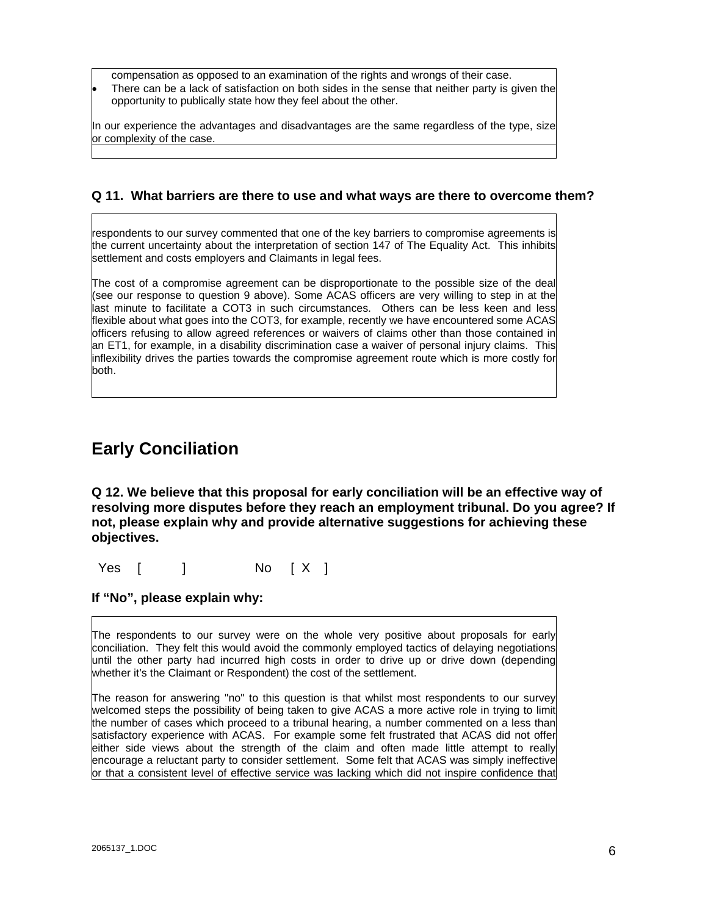compensation as opposed to an examination of the rights and wrongs of their case.

 There can be a lack of satisfaction on both sides in the sense that neither party is given the opportunity to publically state how they feel about the other.

In our experience the advantages and disadvantages are the same regardless of the type, size or complexity of the case.

### **Q 11. What barriers are there to use and what ways are there to overcome them?**

respondents to our survey commented that one of the key barriers to compromise agreements is the current uncertainty about the interpretation of section 147 of The Equality Act. This inhibits settlement and costs employers and Claimants in legal fees.

The cost of a compromise agreement can be disproportionate to the possible size of the deal (see our response to question 9 above). Some ACAS officers are very willing to step in at the last minute to facilitate a COT3 in such circumstances. Others can be less keen and less flexible about what goes into the COT3, for example, recently we have encountered some ACAS officers refusing to allow agreed references or waivers of claims other than those contained in an ET1, for example, in a disability discrimination case a waiver of personal injury claims. This inflexibility drives the parties towards the compromise agreement route which is more costly for both.

### **Early Conciliation**

**Q 12. We believe that this proposal for early conciliation will be an effective way of resolving more disputes before they reach an employment tribunal. Do you agree? If not, please explain why and provide alternative suggestions for achieving these objectives.** 

Yes [ ] No [ X ]

### **If "No", please explain why:**

The respondents to our survey were on the whole very positive about proposals for early conciliation. They felt this would avoid the commonly employed tactics of delaying negotiations until the other party had incurred high costs in order to drive up or drive down (depending whether it's the Claimant or Respondent) the cost of the settlement.

The reason for answering "no" to this question is that whilst most respondents to our survey welcomed steps the possibility of being taken to give ACAS a more active role in trying to limit the number of cases which proceed to a tribunal hearing, a number commented on a less than satisfactory experience with ACAS. For example some felt frustrated that ACAS did not offer either side views about the strength of the claim and often made little attempt to really encourage a reluctant party to consider settlement. Some felt that ACAS was simply ineffective or that a consistent level of effective service was lacking which did not inspire confidence that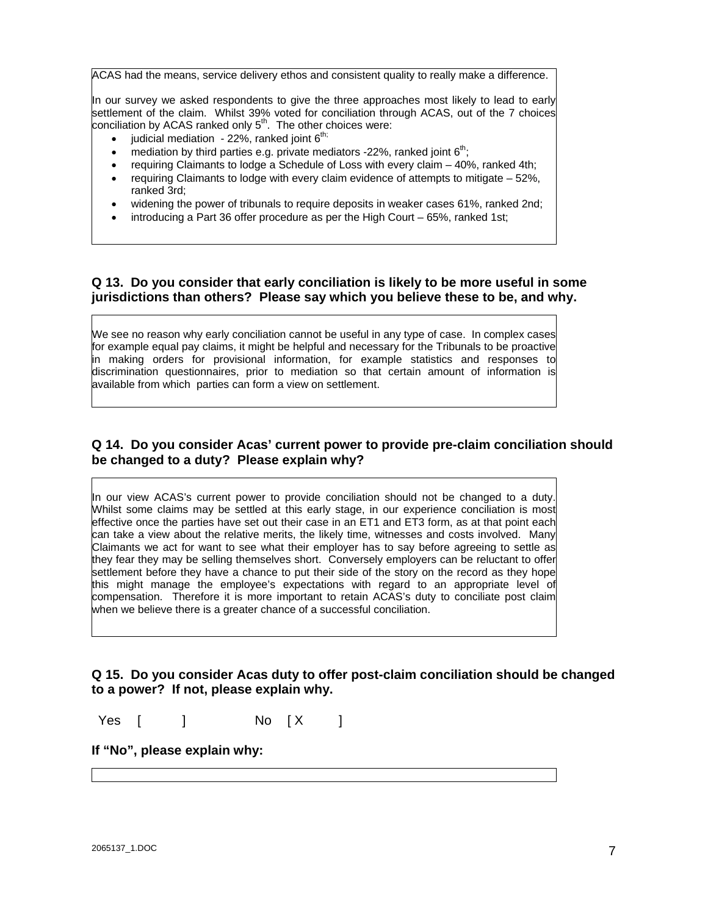ACAS had the means, service delivery ethos and consistent quality to really make a difference.

In our survey we asked respondents to give the three approaches most likely to lead to early settlement of the claim. Whilst 39% voted for conciliation through ACAS, out of the 7 choices conciliation by ACAS ranked only  $5<sup>th</sup>$ . The other choices were:

- judicial mediation 22%, ranked joint  $6<sup>th</sup>$ ;
- mediation by third parties e.g. private mediators -22%, ranked joint  $6<sup>th</sup>$ ;
- requiring Claimants to lodge a Schedule of Loss with every claim 40%, ranked 4th;
- requiring Claimants to lodge with every claim evidence of attempts to mitigate 52%, ranked 3rd;
- widening the power of tribunals to require deposits in weaker cases 61%, ranked 2nd;
- introducing a Part 36 offer procedure as per the High Court 65%, ranked 1st;

### **Q 13. Do you consider that early conciliation is likely to be more useful in some jurisdictions than others? Please say which you believe these to be, and why.**

We see no reason why early conciliation cannot be useful in any type of case. In complex cases for example equal pay claims, it might be helpful and necessary for the Tribunals to be proactive in making orders for provisional information, for example statistics and responses to discrimination questionnaires, prior to mediation so that certain amount of information is available from which parties can form a view on settlement.

### **Q 14. Do you consider Acas' current power to provide pre-claim conciliation should be changed to a duty? Please explain why?**

In our view ACAS's current power to provide conciliation should not be changed to a duty. Whilst some claims may be settled at this early stage, in our experience conciliation is most effective once the parties have set out their case in an ET1 and ET3 form, as at that point each can take a view about the relative merits, the likely time, witnesses and costs involved. Many Claimants we act for want to see what their employer has to say before agreeing to settle as they fear they may be selling themselves short. Conversely employers can be reluctant to offer settlement before they have a chance to put their side of the story on the record as they hope this might manage the employee's expectations with regard to an appropriate level of compensation. Therefore it is more important to retain ACAS's duty to conciliate post claim when we believe there is a greater chance of a successful conciliation.

### **Q 15. Do you consider Acas duty to offer post-claim conciliation should be changed to a power? If not, please explain why.**

Yes [ ] No [X ]

#### **If "No", please explain why:**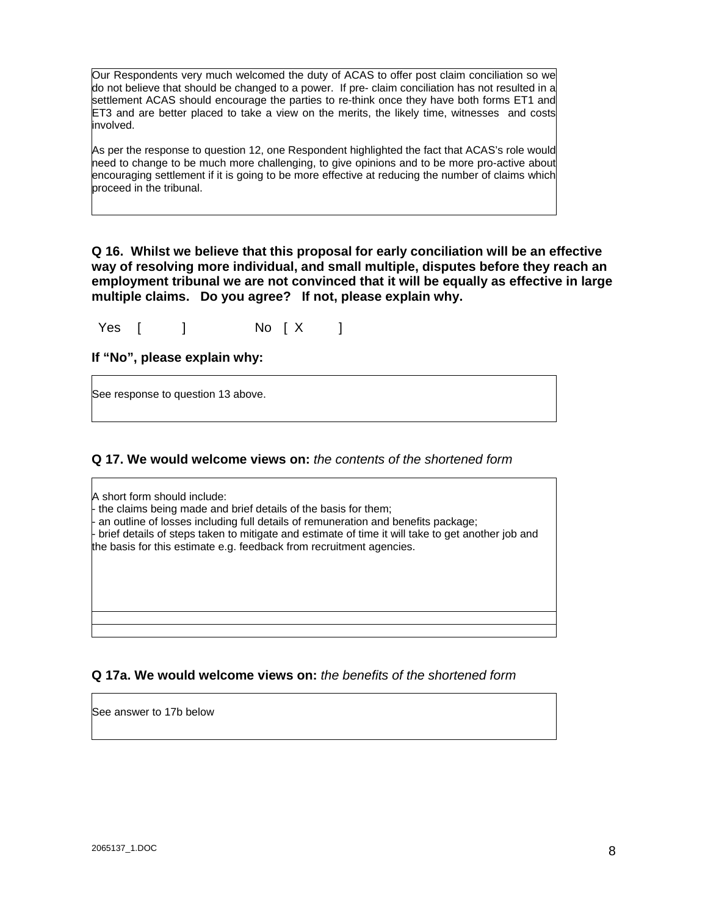Our Respondents very much welcomed the duty of ACAS to offer post claim conciliation so we do not believe that should be changed to a power. If pre- claim conciliation has not resulted in a settlement ACAS should encourage the parties to re-think once they have both forms ET1 and ET3 and are better placed to take a view on the merits, the likely time, witnesses and costs involved.

As per the response to question 12, one Respondent highlighted the fact that ACAS's role would need to change to be much more challenging, to give opinions and to be more pro-active about encouraging settlement if it is going to be more effective at reducing the number of claims which proceed in the tribunal.

**Q 16. Whilst we believe that this proposal for early conciliation will be an effective way of resolving more individual, and small multiple, disputes before they reach an employment tribunal we are not convinced that it will be equally as effective in large multiple claims. Do you agree? If not, please explain why.** 

Yes [ ] No [ X ]

### **If "No", please explain why:**

See response to question 13 above.

### **Q 17. We would welcome views on:** *the contents of the shortened form*

A short form should include: - the claims being made and brief details of the basis for them; an outline of losses including full details of remuneration and benefits package; - brief details of steps taken to mitigate and estimate of time it will take to get another job and the basis for this estimate e.g. feedback from recruitment agencies.

### **Q 17a. We would welcome views on:** *the benefits of the shortened form*

See answer to 17b below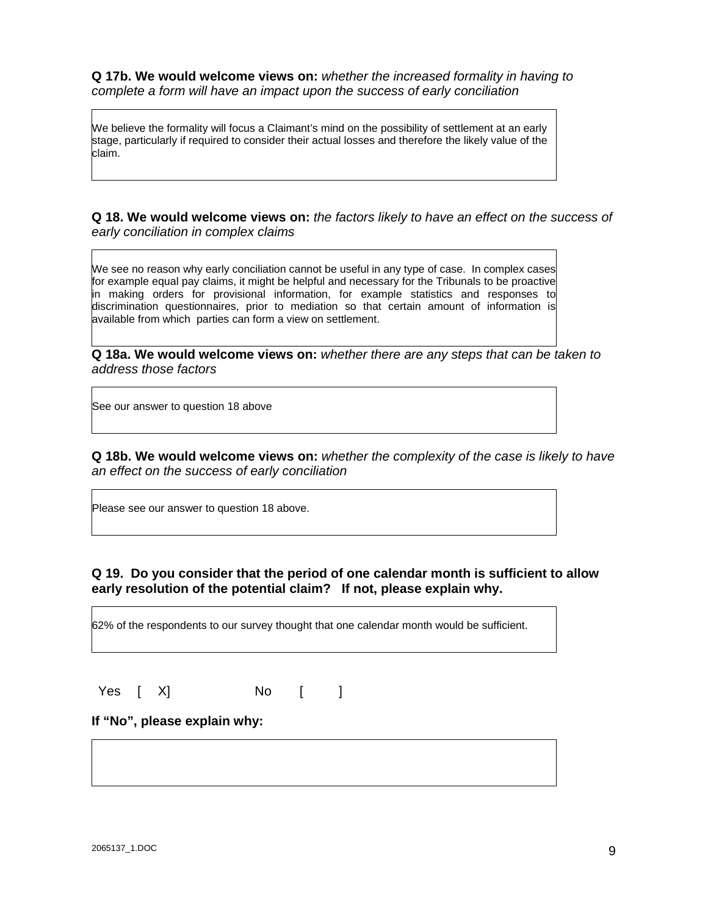**Q 17b. We would welcome views on:** *whether the increased formality in having to complete a form will have an impact upon the success of early conciliation*

We believe the formality will focus a Claimant's mind on the possibility of settlement at an early stage, particularly if required to consider their actual losses and therefore the likely value of the claim.

**Q 18. We would welcome views on:** *the factors likely to have an effect on the success of early conciliation in complex claims* 

We see no reason why early conciliation cannot be useful in any type of case. In complex cases for example equal pay claims, it might be helpful and necessary for the Tribunals to be proactive in making orders for provisional information, for example statistics and responses to discrimination questionnaires, prior to mediation so that certain amount of information is available from which parties can form a view on settlement.

**Q 18a. We would welcome views on:** *whether there are any steps that can be taken to address those factors* 

See our answer to question 18 above

**Q 18b. We would welcome views on:** *whether the complexity of the case is likely to have an effect on the success of early conciliation*

Please see our answer to question 18 above.

### **Q 19. Do you consider that the period of one calendar month is sufficient to allow early resolution of the potential claim? If not, please explain why.**

62% of the respondents to our survey thought that one calendar month would be sufficient.

Yes [ X] No [ ]

### **If "No", please explain why:**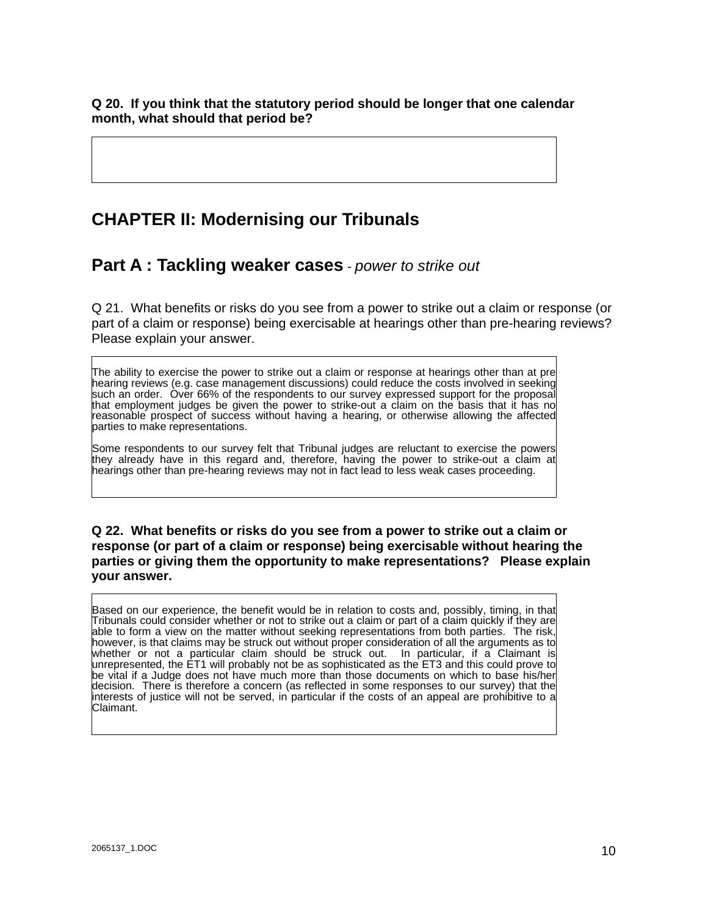**Q 20. If you think that the statutory period should be longer that one calendar month, what should that period be?** 

### **CHAPTER II: Modernising our Tribunals**

**Part A : Tackling weaker cases** *- power to strike out*

Q 21. What benefits or risks do you see from a power to strike out a claim or response (or part of a claim or response) being exercisable at hearings other than pre-hearing reviews? Please explain your answer.

The ability to exercise the power to strike out a claim or response at hearings other than at pre hearing reviews (e.g. case management discussions) could reduce the costs involved in seeking such an order. Over 66% of the respondents to our survey expressed support for the proposal that employment judges be given the power to strike-out a claim on the basis that it has no reasonable prospect of success without having a hearing, or otherwise allowing the affected parties to make representations.

Some respondents to our survey felt that Tribunal judges are reluctant to exercise the powers they already have in this regard and, therefore, having the power to strike-out a claim at hearings other than pre-hearing reviews may not in fact lead to less weak cases proceeding.

### **Q 22. What benefits or risks do you see from a power to strike out a claim or response (or part of a claim or response) being exercisable without hearing the parties or giving them the opportunity to make representations? Please explain your answer.**

Based on our experience, the benefit would be in relation to costs and, possibly, timing, in that Tribunals could consider whether or not to strike out a claim or part of a claim quickly if they are able to form a view on the matter without seeking representations from both parties. The risk, however, is that claims may be struck out without proper consideration of all the arguments as to whether or not a particular claim should be struck out. In particular, if a Claimant is unrepresented, the ET1 will probably not be as sophisticated as the ET3 and this could prove to be vital if a Judge does not have much more than those documents on which to base his/her decision. There is therefore a concern (as reflected in some responses to our survey) that the interests of justice will not be served, in particular if the costs of an appeal are prohibitive to a Claimant.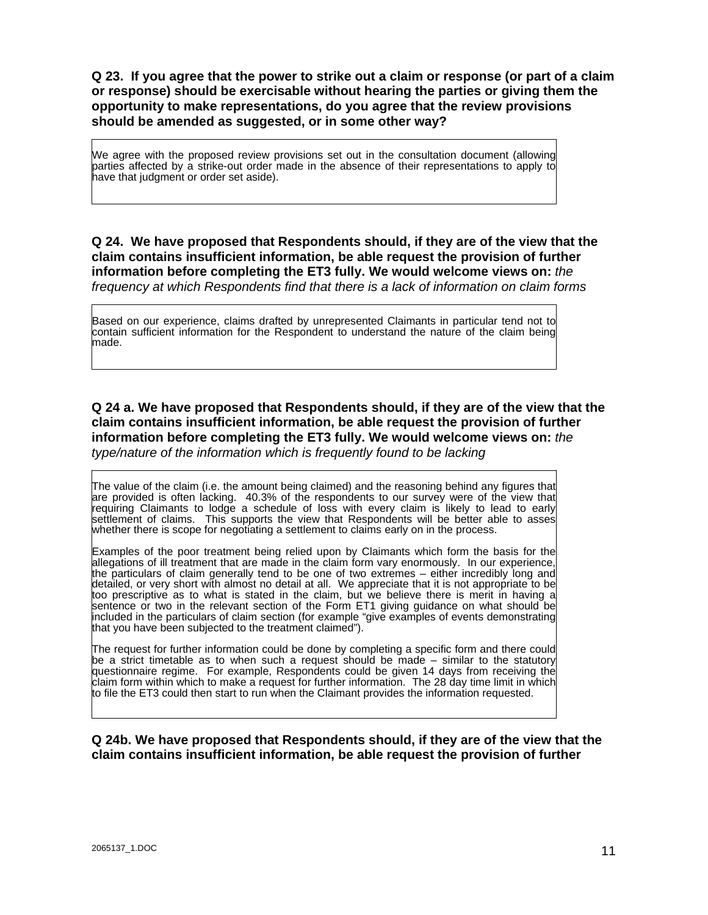**Q 23. If you agree that the power to strike out a claim or response (or part of a claim or response) should be exercisable without hearing the parties or giving them the opportunity to make representations, do you agree that the review provisions should be amended as suggested, or in some other way?** 

We agree with the proposed review provisions set out in the consultation document (allowing parties affected by a strike-out order made in the absence of their representations to apply to have that judgment or order set aside).

**Q 24. We have proposed that Respondents should, if they are of the view that the claim contains insufficient information, be able request the provision of further information before completing the ET3 fully. We would welcome views on:** *the frequency at which Respondents find that there is a lack of information on claim forms* 

Based on our experience, claims drafted by unrepresented Claimants in particular tend not to contain sufficient information for the Respondent to understand the nature of the claim being made.

### **Q 24 a. We have proposed that Respondents should, if they are of the view that the claim contains insufficient information, be able request the provision of further information before completing the ET3 fully. We would welcome views on:** *the type/nature of the information which is frequently found to be lacking*

The value of the claim (i.e. the amount being claimed) and the reasoning behind any figures that are provided is often lacking. 40.3% of the respondents to our survey were of the view that requiring Claimants to lodge a schedule of loss with every claim is likely to lead to early settlement of claims. This supports the view that Respondents will be better able to asses whether there is scope for negotiating a settlement to claims early on in the process.

Examples of the poor treatment being relied upon by Claimants which form the basis for the allegations of ill treatment that are made in the claim form vary enormously. In our experience, the particulars of claim generally tend to be one of two extremes – either incredibly long and detailed, or very short with almost no detail at all. We appreciate that it is not appropriate to be too prescriptive as to what is stated in the claim, but we believe there is merit in having a sentence or two in the relevant section of the Form ET1 giving guidance on what should be included in the particulars of claim section (for example "give examples of events demonstrating that you have been subjected to the treatment claimed").

The request for further information could be done by completing a specific form and there could be a strict timetable as to when such a request should be made – similar to the statutory questionnaire regime. For example, Respondents could be given 14 days from receiving the claim form within which to make a request for further information. The 28 day time limit in which to file the ET3 could then start to run when the Claimant provides the information requested.

#### **Q 24b. We have proposed that Respondents should, if they are of the view that the claim contains insufficient information, be able request the provision of further**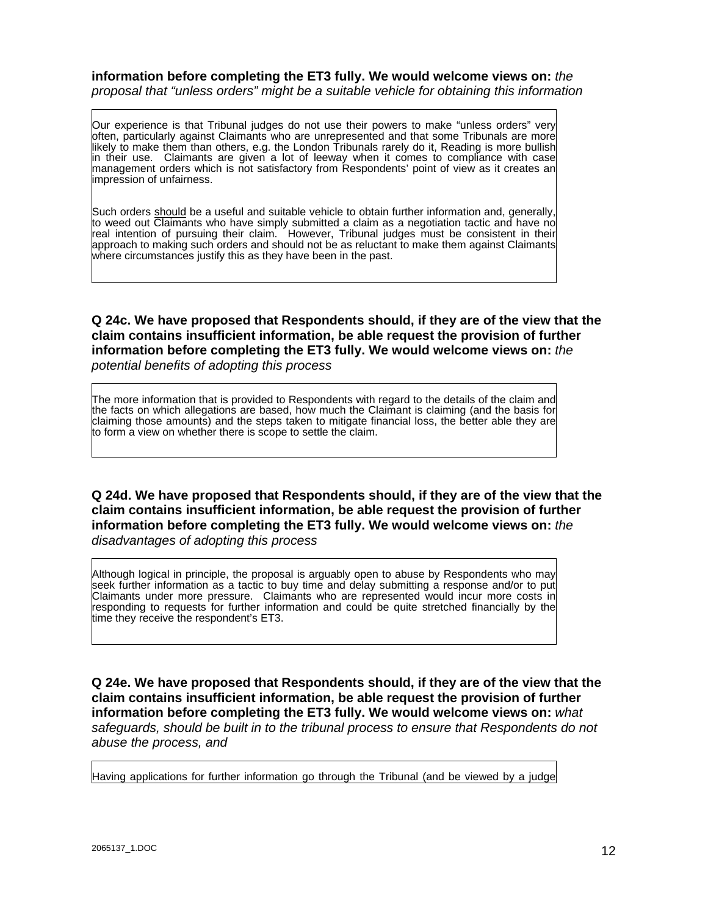#### **information before completing the ET3 fully. We would welcome views on:** *the proposal that "unless orders" might be a suitable vehicle for obtaining this information*

Our experience is that Tribunal judges do not use their powers to make "unless orders" very often, particularly against Claimants who are unrepresented and that some Tribunals are more likely to make them than others, e.g. the London Tribunals rarely do it, Reading is more bullish in their use. Claimants are given a lot of leeway when it comes to compliance with case management orders which is not satisfactory from Respondents' point of view as it creates an impression of unfairness.

Such orders should be a useful and suitable vehicle to obtain further information and, generally, to weed out Claimants who have simply submitted a claim as a negotiation tactic and have no real intention of pursuing their claim. However, Tribunal judges must be consistent in their approach to making such orders and should not be as reluctant to make them against Claimants where circumstances justify this as they have been in the past.

### **Q 24c. We have proposed that Respondents should, if they are of the view that the claim contains insufficient information, be able request the provision of further information before completing the ET3 fully. We would welcome views on:** *the potential benefits of adopting this process*

The more information that is provided to Respondents with regard to the details of the claim and the facts on which allegations are based, how much the Claimant is claiming (and the basis for claiming those amounts) and the steps taken to mitigate financial loss, the better able they are to form a view on whether there is scope to settle the claim.

**Q 24d. We have proposed that Respondents should, if they are of the view that the claim contains insufficient information, be able request the provision of further information before completing the ET3 fully. We would welcome views on:** *the* 

*disadvantages of adopting this process* 

Although logical in principle, the proposal is arguably open to abuse by Respondents who may seek further information as a tactic to buy time and delay submitting a response and/or to put Claimants under more pressure. Claimants who are represented would incur more costs in responding to requests for further information and could be quite stretched financially by the time they receive the respondent's ET3.

**Q 24e. We have proposed that Respondents should, if they are of the view that the claim contains insufficient information, be able request the provision of further information before completing the ET3 fully. We would welcome views on:** *what safeguards, should be built in to the tribunal process to ensure that Respondents do not abuse the process, and* 

Having applications for further information go through the Tribunal (and be viewed by a judge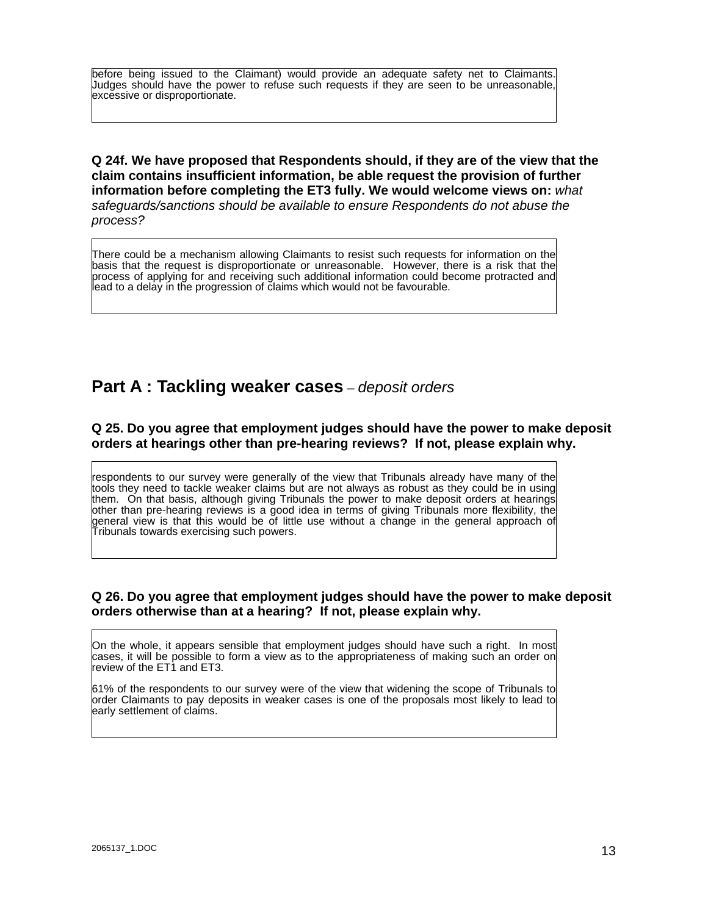before being issued to the Claimant) would provide an adequate safety net to Claimants. Judges should have the power to refuse such requests if they are seen to be unreasonable, excessive or disproportionate.

**Q 24f. We have proposed that Respondents should, if they are of the view that the claim contains insufficient information, be able request the provision of further information before completing the ET3 fully. We would welcome views on:** *what safeguards/sanctions should be available to ensure Respondents do not abuse the process?* 

There could be a mechanism allowing Claimants to resist such requests for information on the basis that the request is disproportionate or unreasonable. However, there is a risk that the process of applying for and receiving such additional information could become protracted and lead to a delay in the progression of claims which would not be favourable.

### **Part A : Tackling weaker cases** *– deposit orders*

### **Q 25. Do you agree that employment judges should have the power to make deposit orders at hearings other than pre-hearing reviews? If not, please explain why.**

respondents to our survey were generally of the view that Tribunals already have many of the tools they need to tackle weaker claims but are not always as robust as they could be in using them. On that basis, although giving Tribunals the power to make deposit orders at hearings other than pre-hearing reviews is a good idea in terms of giving Tribunals more flexibility, the general view is that this would be of little use without a change in the general approach of Tribunals towards exercising such powers.

### **Q 26. Do you agree that employment judges should have the power to make deposit orders otherwise than at a hearing? If not, please explain why.**

On the whole, it appears sensible that employment judges should have such a right. In most cases, it will be possible to form a view as to the appropriateness of making such an order on review of the ET1 and ET3.

61% of the respondents to our survey were of the view that widening the scope of Tribunals to order Claimants to pay deposits in weaker cases is one of the proposals most likely to lead to early settlement of claims.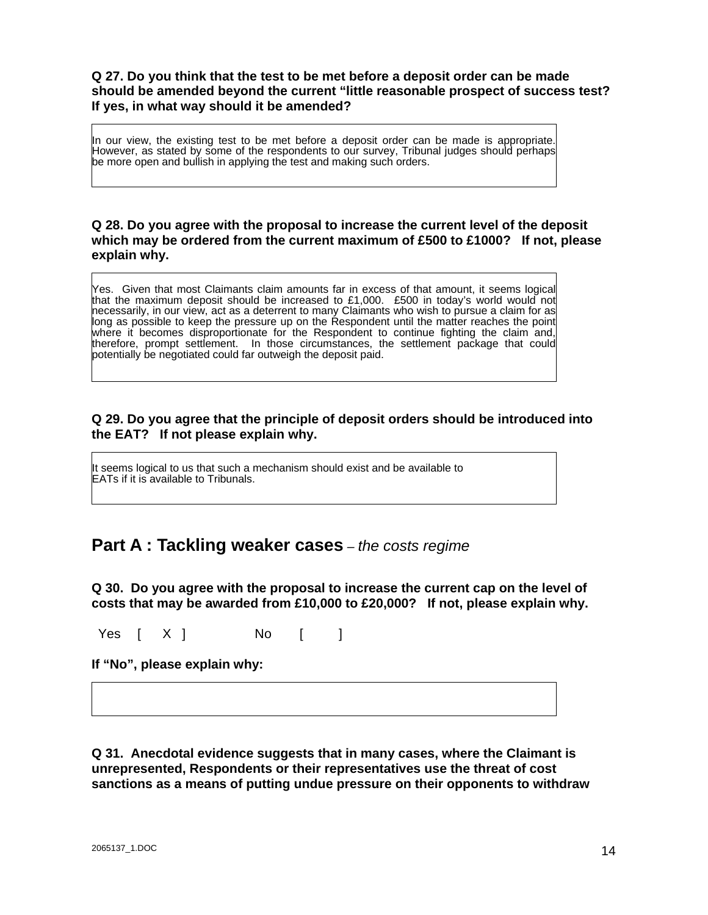### **Q 27. Do you think that the test to be met before a deposit order can be made should be amended beyond the current "little reasonable prospect of success test? If yes, in what way should it be amended?**

In our view, the existing test to be met before a deposit order can be made is appropriate. However, as stated by some of the respondents to our survey, Tribunal judges should perhaps be more open and bullish in applying the test and making such orders.

### **Q 28. Do you agree with the proposal to increase the current level of the deposit which may be ordered from the current maximum of £500 to £1000? If not, please explain why.**

Yes. Given that most Claimants claim amounts far in excess of that amount, it seems logical that the maximum deposit should be increased to £1,000. £500 in today's world would not necessarily, in our view, act as a deterrent to many Claimants who wish to pursue a claim for as long as possible to keep the pressure up on the Respondent until the matter reaches the point where it becomes disproportionate for the Respondent to continue fighting the claim and, therefore, prompt settlement. In those circumstances, the settlement package that could potentially be negotiated could far outweigh the deposit paid.

### **Q 29. Do you agree that the principle of deposit orders should be introduced into the EAT? If not please explain why.**

It seems logical to us that such a mechanism should exist and be available to EATs if it is available to Tribunals.

### **Part A : Tackling weaker cases** *– the costs regime*

**Q 30. Do you agree with the proposal to increase the current cap on the level of costs that may be awarded from £10,000 to £20,000? If not, please explain why.** 

Yes [ X ] No [ ]

**If "No", please explain why:** 

**Q 31. Anecdotal evidence suggests that in many cases, where the Claimant is unrepresented, Respondents or their representatives use the threat of cost sanctions as a means of putting undue pressure on their opponents to withdraw**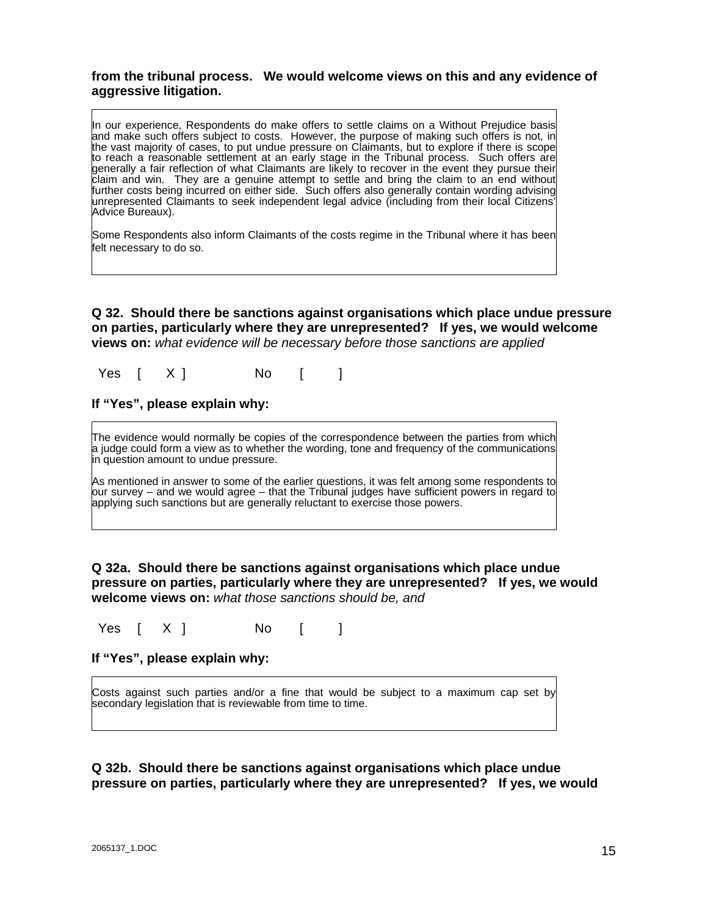### **from the tribunal process. We would welcome views on this and any evidence of aggressive litigation.**

In our experience, Respondents do make offers to settle claims on a Without Prejudice basis and make such offers subject to costs. However, the purpose of making such offers is not, in the vast majority of cases, to put undue pressure on Claimants, but to explore if there is scope to reach a reasonable settlement at an early stage in the Tribunal process. Such offers are generally a fair reflection of what Claimants are likely to recover in the event they pursue their claim and win. They are a genuine attempt to settle and bring the claim to an end without further costs being incurred on either side. Such offers also generally contain wording advising unrepresented Claimants to seek independent legal advice (including from their local Citizens' Advice Bureaux).

Some Respondents also inform Claimants of the costs regime in the Tribunal where it has been felt necessary to do so.

**Q 32. Should there be sanctions against organisations which place undue pressure on parties, particularly where they are unrepresented? If yes, we would welcome views on:** *what evidence will be necessary before those sanctions are applied*

Yes [ X ] No [ ]

### **If "Yes", please explain why:**

The evidence would normally be copies of the correspondence between the parties from which a judge could form a view as to whether the wording, tone and frequency of the communications in question amount to undue pressure.

As mentioned in answer to some of the earlier questions, it was felt among some respondents to our survey – and we would agree – that the Tribunal judges have sufficient powers in regard to applying such sanctions but are generally reluctant to exercise those powers.

### **Q 32a. Should there be sanctions against organisations which place undue pressure on parties, particularly where they are unrepresented? If yes, we would welcome views on:** *what those sanctions should be, and*

Yes  $[X]$  No  $[$  ]

Costs against such parties and/or a fine that would be subject to a maximum cap set by secondary legislation that is reviewable from time to time.

### **Q 32b. Should there be sanctions against organisations which place undue pressure on parties, particularly where they are unrepresented? If yes, we would**

**If "Yes", please explain why:**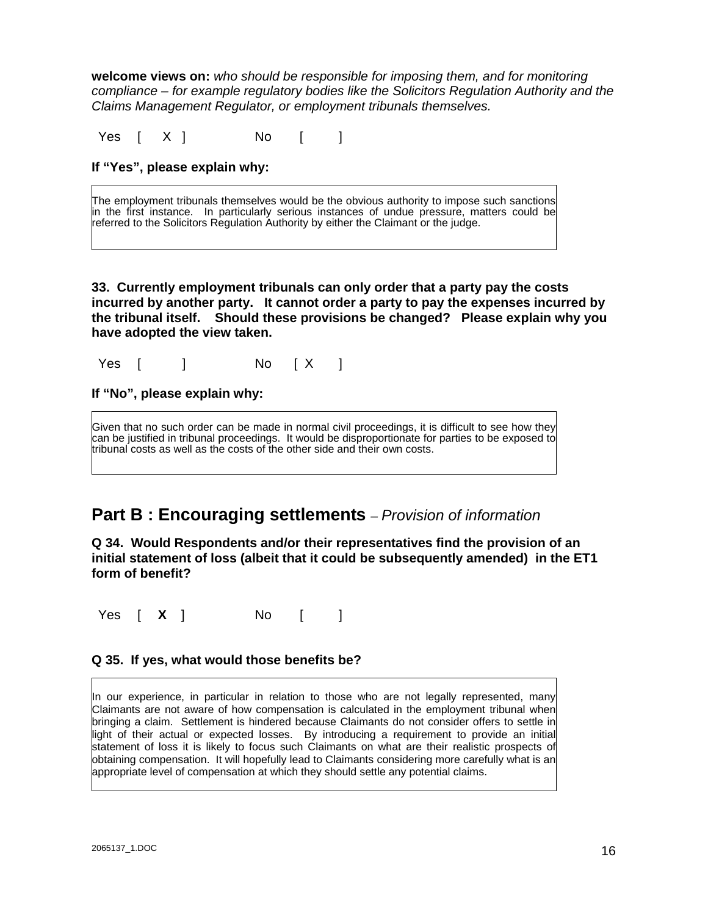**welcome views on:** *who should be responsible for imposing them, and for monitoring compliance – for example regulatory bodies like the Solicitors Regulation Authority and the Claims Management Regulator, or employment tribunals themselves.*

Yes [ X ] No [ ]

### **If "Yes", please explain why:**

The employment tribunals themselves would be the obvious authority to impose such sanctions in the first instance. In particularly serious instances of undue pressure, matters could be referred to the Solicitors Regulation Authority by either the Claimant or the judge.

**33. Currently employment tribunals can only order that a party pay the costs incurred by another party. It cannot order a party to pay the expenses incurred by the tribunal itself. Should these provisions be changed? Please explain why you have adopted the view taken.** 

Yes [ ] No [X ]

**If "No", please explain why:** 

Given that no such order can be made in normal civil proceedings, it is difficult to see how they can be justified in tribunal proceedings. It would be disproportionate for parties to be exposed to tribunal costs as well as the costs of the other side and their own costs.

### **Part B : Encouraging settlements** *– Provision of information*

**Q 34. Would Respondents and/or their representatives find the provision of an initial statement of loss (albeit that it could be subsequently amended) in the ET1 form of benefit?** 

Yes  $\begin{bmatrix} X \end{bmatrix}$  No  $\begin{bmatrix} \end{bmatrix}$ 

### **Q 35. If yes, what would those benefits be?**

In our experience, in particular in relation to those who are not legally represented, many Claimants are not aware of how compensation is calculated in the employment tribunal when bringing a claim. Settlement is hindered because Claimants do not consider offers to settle in light of their actual or expected losses. By introducing a requirement to provide an initial statement of loss it is likely to focus such Claimants on what are their realistic prospects of obtaining compensation. It will hopefully lead to Claimants considering more carefully what is an appropriate level of compensation at which they should settle any potential claims.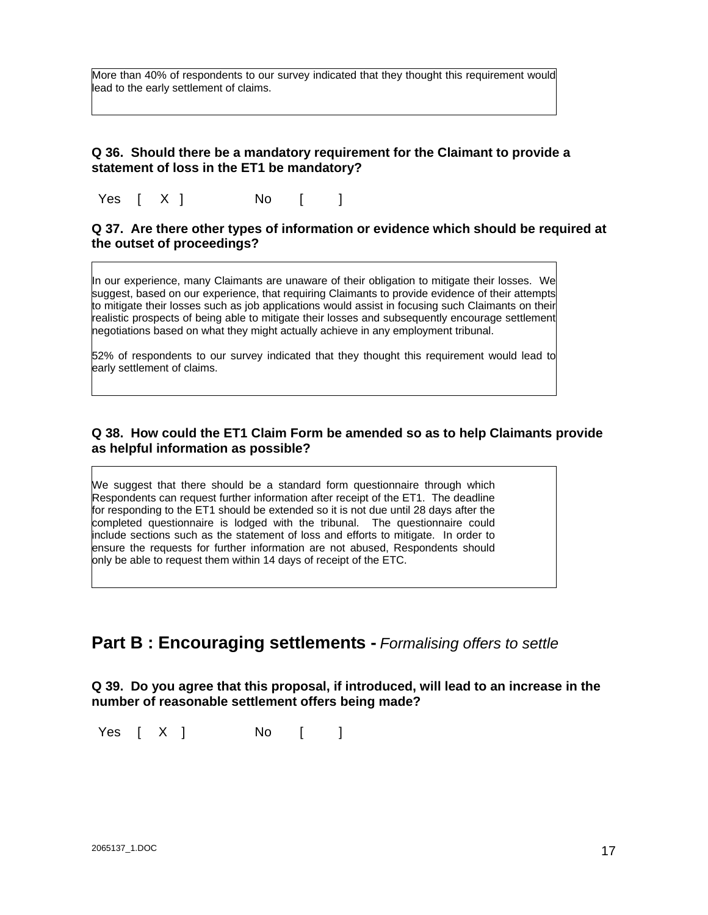More than 40% of respondents to our survey indicated that they thought this requirement would lead to the early settlement of claims.

### **Q 36. Should there be a mandatory requirement for the Claimant to provide a statement of loss in the ET1 be mandatory?**

Yes [ X ] No [ ]

#### **Q 37. Are there other types of information or evidence which should be required at the outset of proceedings?**

In our experience, many Claimants are unaware of their obligation to mitigate their losses. We suggest, based on our experience, that requiring Claimants to provide evidence of their attempts to mitigate their losses such as job applications would assist in focusing such Claimants on their realistic prospects of being able to mitigate their losses and subsequently encourage settlement negotiations based on what they might actually achieve in any employment tribunal.

52% of respondents to our survey indicated that they thought this requirement would lead to early settlement of claims.

### **Q 38. How could the ET1 Claim Form be amended so as to help Claimants provide as helpful information as possible?**

We suggest that there should be a standard form questionnaire through which Respondents can request further information after receipt of the ET1. The deadline for responding to the ET1 should be extended so it is not due until 28 days after the completed questionnaire is lodged with the tribunal. The questionnaire could include sections such as the statement of loss and efforts to mitigate. In order to ensure the requests for further information are not abused, Respondents should only be able to request them within 14 days of receipt of the ETC.

### **Part B : Encouraging settlements -** *Formalising offers to settle*

**Q 39. Do you agree that this proposal, if introduced, will lead to an increase in the number of reasonable settlement offers being made?** 

Yes  $[X]$  No  $[$  ]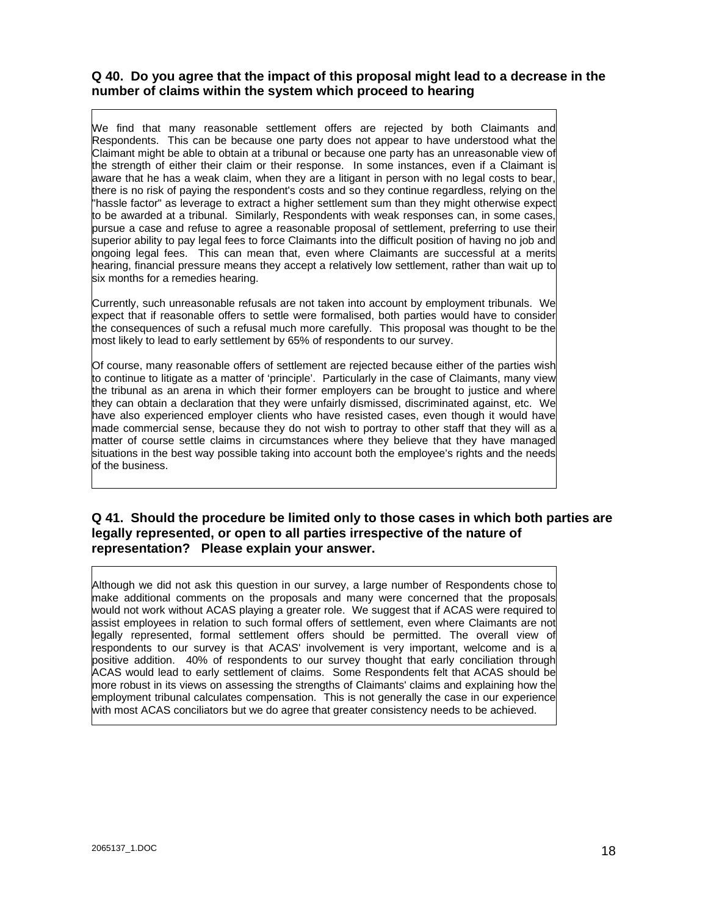### **Q 40. Do you agree that the impact of this proposal might lead to a decrease in the number of claims within the system which proceed to hearing**

We find that many reasonable settlement offers are rejected by both Claimants and Respondents. This can be because one party does not appear to have understood what the Claimant might be able to obtain at a tribunal or because one party has an unreasonable view of the strength of either their claim or their response. In some instances, even if a Claimant is aware that he has a weak claim, when they are a litigant in person with no legal costs to bear, there is no risk of paying the respondent's costs and so they continue regardless, relying on the "hassle factor" as leverage to extract a higher settlement sum than they might otherwise expect to be awarded at a tribunal. Similarly, Respondents with weak responses can, in some cases, pursue a case and refuse to agree a reasonable proposal of settlement, preferring to use their superior ability to pay legal fees to force Claimants into the difficult position of having no job and ongoing legal fees. This can mean that, even where Claimants are successful at a merits hearing, financial pressure means they accept a relatively low settlement, rather than wait up to six months for a remedies hearing.

Currently, such unreasonable refusals are not taken into account by employment tribunals. We expect that if reasonable offers to settle were formalised, both parties would have to consider the consequences of such a refusal much more carefully. This proposal was thought to be the most likely to lead to early settlement by 65% of respondents to our survey.

Of course, many reasonable offers of settlement are rejected because either of the parties wish to continue to litigate as a matter of 'principle'. Particularly in the case of Claimants, many view the tribunal as an arena in which their former employers can be brought to justice and where they can obtain a declaration that they were unfairly dismissed, discriminated against, etc. We have also experienced employer clients who have resisted cases, even though it would have made commercial sense, because they do not wish to portray to other staff that they will as a matter of course settle claims in circumstances where they believe that they have managed situations in the best way possible taking into account both the employee's rights and the needs of the business.

### **Q 41. Should the procedure be limited only to those cases in which both parties are legally represented, or open to all parties irrespective of the nature of representation? Please explain your answer.**

Although we did not ask this question in our survey, a large number of Respondents chose to make additional comments on the proposals and many were concerned that the proposals would not work without ACAS playing a greater role. We suggest that if ACAS were required to assist employees in relation to such formal offers of settlement, even where Claimants are not legally represented, formal settlement offers should be permitted. The overall view of respondents to our survey is that ACAS' involvement is very important, welcome and is a positive addition. 40% of respondents to our survey thought that early conciliation through ACAS would lead to early settlement of claims. Some Respondents felt that ACAS should be more robust in its views on assessing the strengths of Claimants' claims and explaining how the employment tribunal calculates compensation. This is not generally the case in our experience with most ACAS conciliators but we do agree that greater consistency needs to be achieved.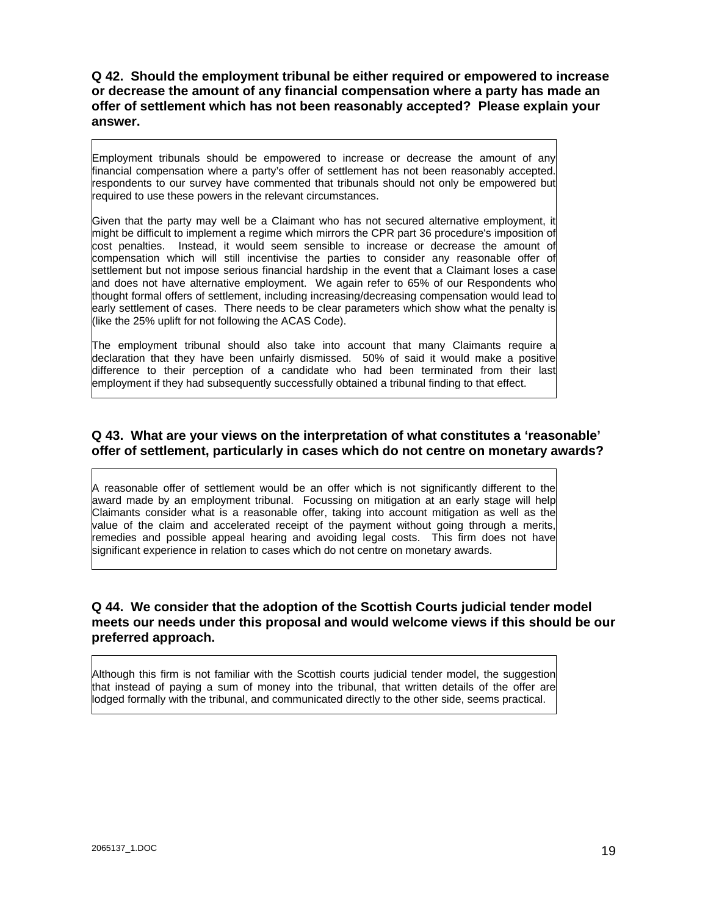**Q 42. Should the employment tribunal be either required or empowered to increase or decrease the amount of any financial compensation where a party has made an offer of settlement which has not been reasonably accepted? Please explain your answer.** 

Employment tribunals should be empowered to increase or decrease the amount of any financial compensation where a party's offer of settlement has not been reasonably accepted. respondents to our survey have commented that tribunals should not only be empowered but required to use these powers in the relevant circumstances.

Given that the party may well be a Claimant who has not secured alternative employment, it might be difficult to implement a regime which mirrors the CPR part 36 procedure's imposition of cost penalties. Instead, it would seem sensible to increase or decrease the amount of compensation which will still incentivise the parties to consider any reasonable offer of settlement but not impose serious financial hardship in the event that a Claimant loses a case and does not have alternative employment. We again refer to 65% of our Respondents who thought formal offers of settlement, including increasing/decreasing compensation would lead to early settlement of cases. There needs to be clear parameters which show what the penalty is (like the 25% uplift for not following the ACAS Code).

The employment tribunal should also take into account that many Claimants require a declaration that they have been unfairly dismissed. 50% of said it would make a positive difference to their perception of a candidate who had been terminated from their last employment if they had subsequently successfully obtained a tribunal finding to that effect.

### **Q 43. What are your views on the interpretation of what constitutes a 'reasonable' offer of settlement, particularly in cases which do not centre on monetary awards?**

A reasonable offer of settlement would be an offer which is not significantly different to the award made by an employment tribunal. Focussing on mitigation at an early stage will help Claimants consider what is a reasonable offer, taking into account mitigation as well as the value of the claim and accelerated receipt of the payment without going through a merits, remedies and possible appeal hearing and avoiding legal costs. This firm does not have significant experience in relation to cases which do not centre on monetary awards.

### **Q 44. We consider that the adoption of the Scottish Courts judicial tender model meets our needs under this proposal and would welcome views if this should be our preferred approach.**

Although this firm is not familiar with the Scottish courts judicial tender model, the suggestion that instead of paying a sum of money into the tribunal, that written details of the offer are lodged formally with the tribunal, and communicated directly to the other side, seems practical.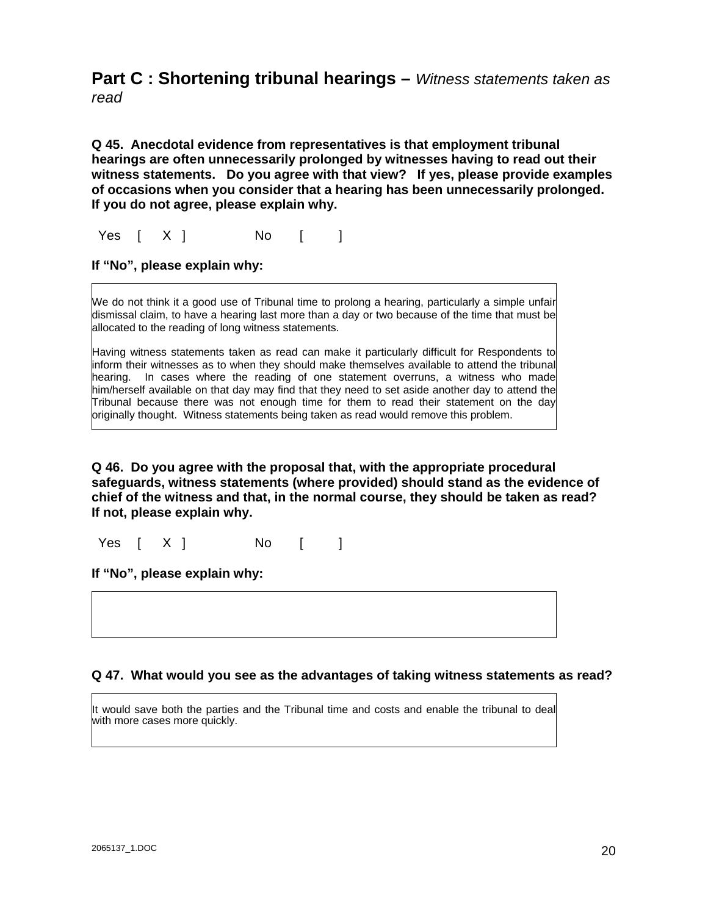# **Part C : Shortening tribunal hearings –** *Witness statements taken as*

*read* 

**Q 45. Anecdotal evidence from representatives is that employment tribunal hearings are often unnecessarily prolonged by witnesses having to read out their witness statements. Do you agree with that view? If yes, please provide examples of occasions when you consider that a hearing has been unnecessarily prolonged. If you do not agree, please explain why.** 

Yes  $[X]$  No  $[$  ]

**If "No", please explain why:** 

We do not think it a good use of Tribunal time to prolong a hearing, particularly a simple unfair dismissal claim, to have a hearing last more than a day or two because of the time that must be allocated to the reading of long witness statements.

Having witness statements taken as read can make it particularly difficult for Respondents to inform their witnesses as to when they should make themselves available to attend the tribunal hearing. In cases where the reading of one statement overruns, a witness who made him/herself available on that day may find that they need to set aside another day to attend the Tribunal because there was not enough time for them to read their statement on the day originally thought. Witness statements being taken as read would remove this problem.

**Q 46. Do you agree with the proposal that, with the appropriate procedural safeguards, witness statements (where provided) should stand as the evidence of chief of the witness and that, in the normal course, they should be taken as read? If not, please explain why.** 

Yes [ X ] No [ ]

**If "No", please explain why:** 

### **Q 47. What would you see as the advantages of taking witness statements as read?**

It would save both the parties and the Tribunal time and costs and enable the tribunal to deal with more cases more quickly.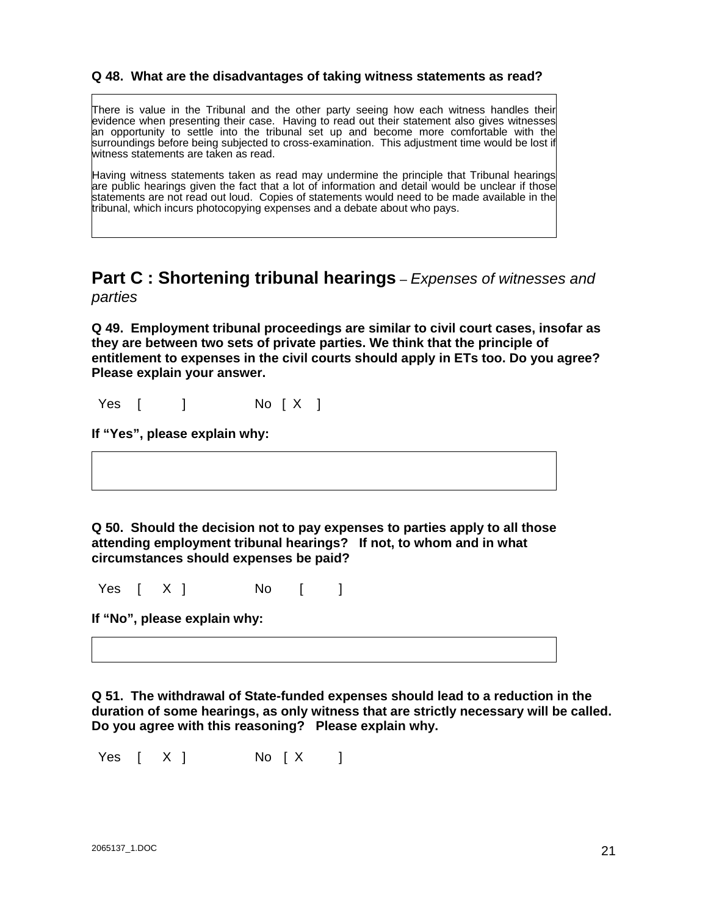### **Q 48. What are the disadvantages of taking witness statements as read?**

There is value in the Tribunal and the other party seeing how each witness handles their evidence when presenting their case. Having to read out their statement also gives witnesses an opportunity to settle into the tribunal set up and become more comfortable with the surroundings before being subjected to cross-examination. This adjustment time would be lost if witness statements are taken as read.

Having witness statements taken as read may undermine the principle that Tribunal hearings are public hearings given the fact that a lot of information and detail would be unclear if those statements are not read out loud. Copies of statements would need to be made available in the tribunal, which incurs photocopying expenses and a debate about who pays.

### **Part C : Shortening tribunal hearings** – *Expenses of witnesses and parties*

**Q 49. Employment tribunal proceedings are similar to civil court cases, insofar as they are between two sets of private parties. We think that the principle of entitlement to expenses in the civil courts should apply in ETs too. Do you agree? Please explain your answer.** 

Yes [ ] No [ X ]

**If "Yes", please explain why:** 

**Q 50. Should the decision not to pay expenses to parties apply to all those attending employment tribunal hearings? If not, to whom and in what circumstances should expenses be paid?** 

Yes  $[X]$  No  $[$  ]

**If "No", please explain why:** 

**Q 51. The withdrawal of State-funded expenses should lead to a reduction in the duration of some hearings, as only witness that are strictly necessary will be called. Do you agree with this reasoning? Please explain why.** 

Yes [ X ] No [ X ]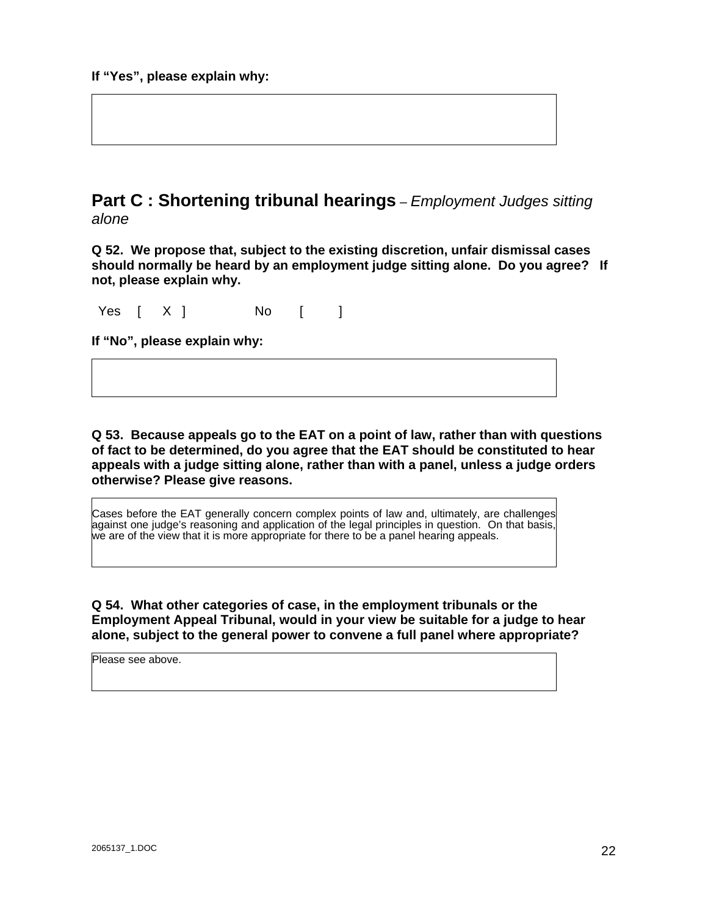### **Part C : Shortening tribunal hearings** – *Employment Judges sitting alone*

**Q 52. We propose that, subject to the existing discretion, unfair dismissal cases should normally be heard by an employment judge sitting alone. Do you agree? If not, please explain why.** 

Yes [ X ] No [ ]

**If "No", please explain why:** 

**Q 53. Because appeals go to the EAT on a point of law, rather than with questions of fact to be determined, do you agree that the EAT should be constituted to hear appeals with a judge sitting alone, rather than with a panel, unless a judge orders otherwise? Please give reasons.** 

Cases before the EAT generally concern complex points of law and, ultimately, are challenges against one judge's reasoning and application of the legal principles in question. On that basis, we are of the view that it is more appropriate for there to be a panel hearing appeals.

**Q 54. What other categories of case, in the employment tribunals or the Employment Appeal Tribunal, would in your view be suitable for a judge to hear alone, subject to the general power to convene a full panel where appropriate?** 

Please see above.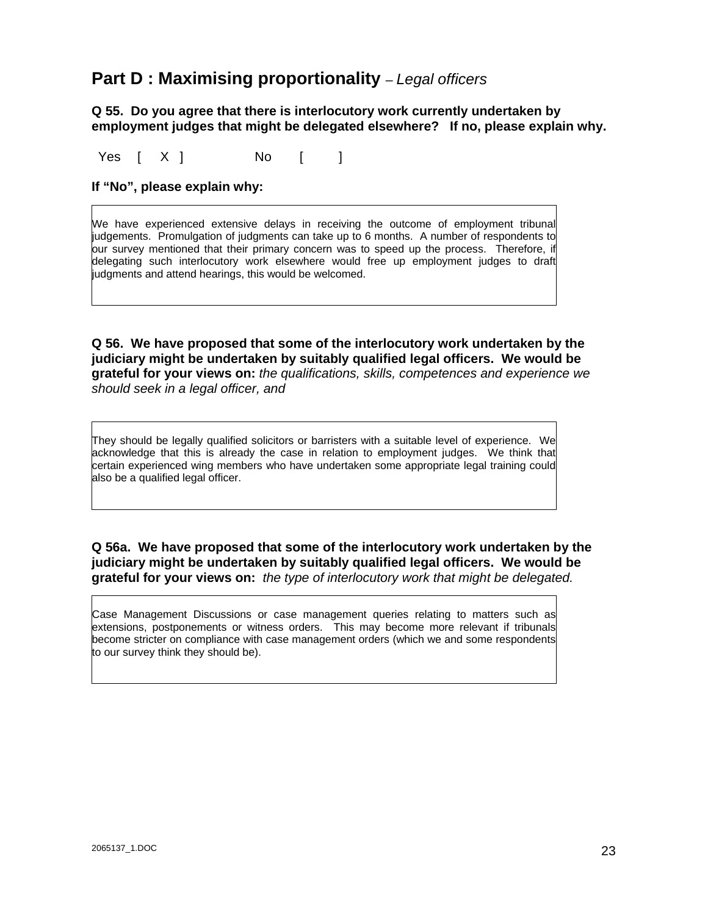### **Part D : Maximising proportionality** – *Legal officers*

### **Q 55. Do you agree that there is interlocutory work currently undertaken by employment judges that might be delegated elsewhere? If no, please explain why.**

Yes [ X ] No [ ]

### **If "No", please explain why:**

We have experienced extensive delays in receiving the outcome of employment tribunal judgements. Promulgation of judgments can take up to 6 months. A number of respondents to our survey mentioned that their primary concern was to speed up the process. Therefore, if delegating such interlocutory work elsewhere would free up employment judges to draft judgments and attend hearings, this would be welcomed.

**Q 56. We have proposed that some of the interlocutory work undertaken by the judiciary might be undertaken by suitably qualified legal officers. We would be grateful for your views on:** *the qualifications, skills, competences and experience we should seek in a legal officer, and* 

They should be legally qualified solicitors or barristers with a suitable level of experience. We acknowledge that this is already the case in relation to employment judges. We think that certain experienced wing members who have undertaken some appropriate legal training could also be a qualified legal officer.

### **Q 56a. We have proposed that some of the interlocutory work undertaken by the judiciary might be undertaken by suitably qualified legal officers. We would be grateful for your views on:** *the type of interlocutory work that might be delegated.*

Case Management Discussions or case management queries relating to matters such as extensions, postponements or witness orders. This may become more relevant if tribunals become stricter on compliance with case management orders (which we and some respondents to our survey think they should be).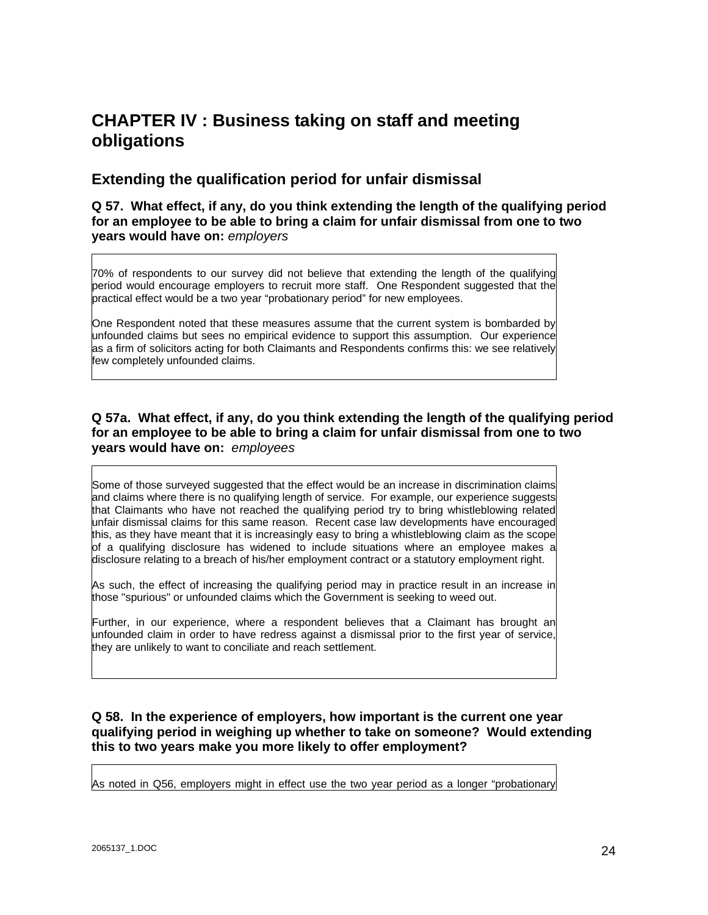# **CHAPTER IV : Business taking on staff and meeting obligations**

### **Extending the qualification period for unfair dismissal**

### **Q 57. What effect, if any, do you think extending the length of the qualifying period for an employee to be able to bring a claim for unfair dismissal from one to two years would have on:** *employers*

70% of respondents to our survey did not believe that extending the length of the qualifying period would encourage employers to recruit more staff. One Respondent suggested that the practical effect would be a two year "probationary period" for new employees.

One Respondent noted that these measures assume that the current system is bombarded by unfounded claims but sees no empirical evidence to support this assumption. Our experience as a firm of solicitors acting for both Claimants and Respondents confirms this: we see relatively few completely unfounded claims.

### **Q 57a. What effect, if any, do you think extending the length of the qualifying period for an employee to be able to bring a claim for unfair dismissal from one to two years would have on:** *employees*

Some of those surveved suggested that the effect would be an increase in discrimination claims and claims where there is no qualifying length of service. For example, our experience suggests that Claimants who have not reached the qualifying period try to bring whistleblowing related unfair dismissal claims for this same reason. Recent case law developments have encouraged this, as they have meant that it is increasingly easy to bring a whistleblowing claim as the scope of a qualifying disclosure has widened to include situations where an employee makes a disclosure relating to a breach of his/her employment contract or a statutory employment right.

As such, the effect of increasing the qualifying period may in practice result in an increase in those "spurious" or unfounded claims which the Government is seeking to weed out.

Further, in our experience, where a respondent believes that a Claimant has brought an unfounded claim in order to have redress against a dismissal prior to the first year of service, they are unlikely to want to conciliate and reach settlement.

### **Q 58. In the experience of employers, how important is the current one year qualifying period in weighing up whether to take on someone? Would extending this to two years make you more likely to offer employment?**

As noted in Q56, employers might in effect use the two year period as a longer "probationary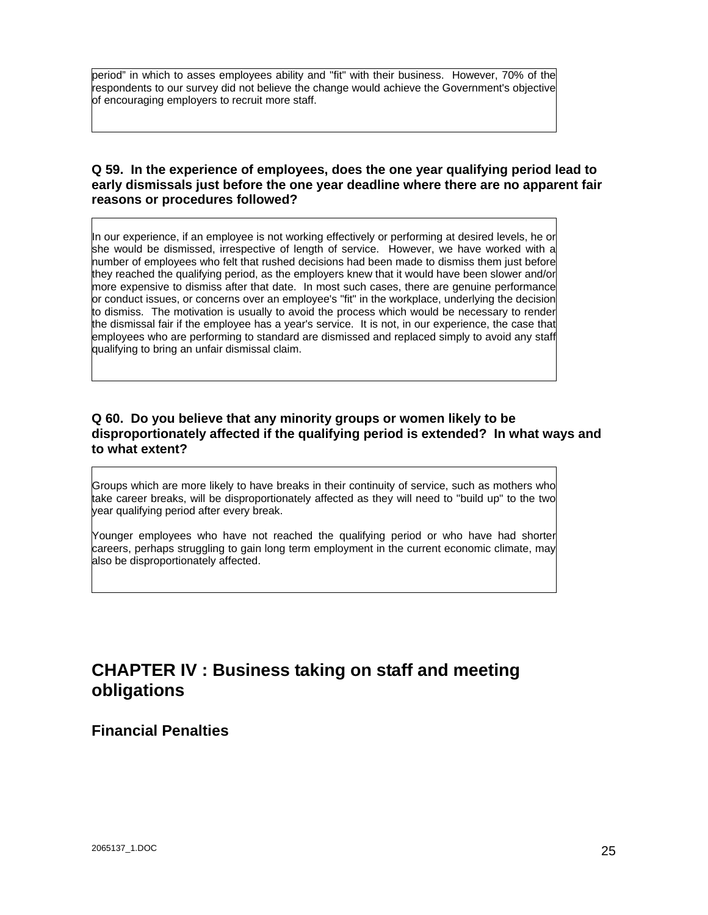period" in which to asses employees ability and "fit" with their business. However, 70% of the respondents to our survey did not believe the change would achieve the Government's objective of encouraging employers to recruit more staff.

### **Q 59. In the experience of employees, does the one year qualifying period lead to early dismissals just before the one year deadline where there are no apparent fair reasons or procedures followed?**

In our experience, if an employee is not working effectively or performing at desired levels, he or she would be dismissed, irrespective of length of service. However, we have worked with a number of employees who felt that rushed decisions had been made to dismiss them just before they reached the qualifying period, as the employers knew that it would have been slower and/or more expensive to dismiss after that date. In most such cases, there are genuine performance or conduct issues, or concerns over an employee's "fit" in the workplace, underlying the decision to dismiss. The motivation is usually to avoid the process which would be necessary to render the dismissal fair if the employee has a year's service. It is not, in our experience, the case that employees who are performing to standard are dismissed and replaced simply to avoid any staff qualifying to bring an unfair dismissal claim.

### **Q 60. Do you believe that any minority groups or women likely to be disproportionately affected if the qualifying period is extended? In what ways and to what extent?**

Groups which are more likely to have breaks in their continuity of service, such as mothers who take career breaks, will be disproportionately affected as they will need to "build up" to the two year qualifying period after every break.

Younger employees who have not reached the qualifying period or who have had shorter careers, perhaps struggling to gain long term employment in the current economic climate, may also be disproportionately affected.

# **CHAPTER IV : Business taking on staff and meeting obligations**

**Financial Penalties**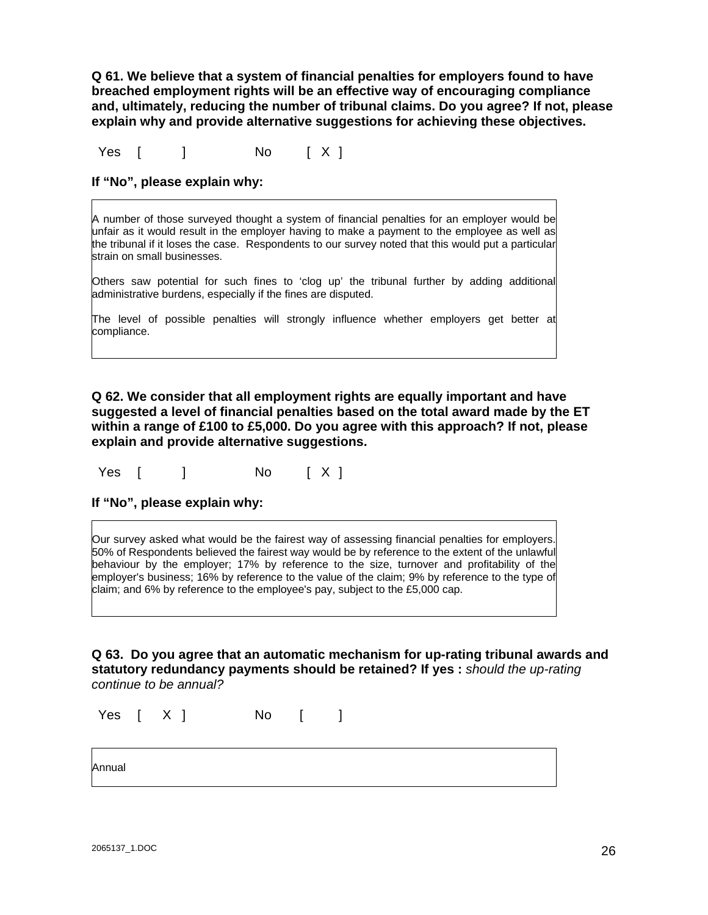**Q 61. We believe that a system of financial penalties for employers found to have breached employment rights will be an effective way of encouraging compliance and, ultimately, reducing the number of tribunal claims. Do you agree? If not, please explain why and provide alternative suggestions for achieving these objectives.** 

Yes [ ] No [ X ]

**If "No", please explain why:** 

A number of those surveyed thought a system of financial penalties for an employer would be unfair as it would result in the employer having to make a payment to the employee as well as the tribunal if it loses the case. Respondents to our survey noted that this would put a particular strain on small businesses.

Others saw potential for such fines to 'clog up' the tribunal further by adding additional administrative burdens, especially if the fines are disputed.

The level of possible penalties will strongly influence whether employers get better at compliance.

**Q 62. We consider that all employment rights are equally important and have suggested a level of financial penalties based on the total award made by the ET within a range of £100 to £5,000. Do you agree with this approach? If not, please explain and provide alternative suggestions.** 

Yes [ ] No [ X ]

Our survey asked what would be the fairest way of assessing financial penalties for employers. 50% of Respondents believed the fairest way would be by reference to the extent of the unlawful behaviour by the employer; 17% by reference to the size, turnover and profitability of the employer's business; 16% by reference to the value of the claim; 9% by reference to the type of claim; and 6% by reference to the employee's pay, subject to the £5,000 cap.

**Q 63. Do you agree that an automatic mechanism for up-rating tribunal awards and statutory redundancy payments should be retained? If yes :** *should the up-rating continue to be annual?* 

Yes  $[X]$  No  $[$  ]

Annual

**If "No", please explain why:**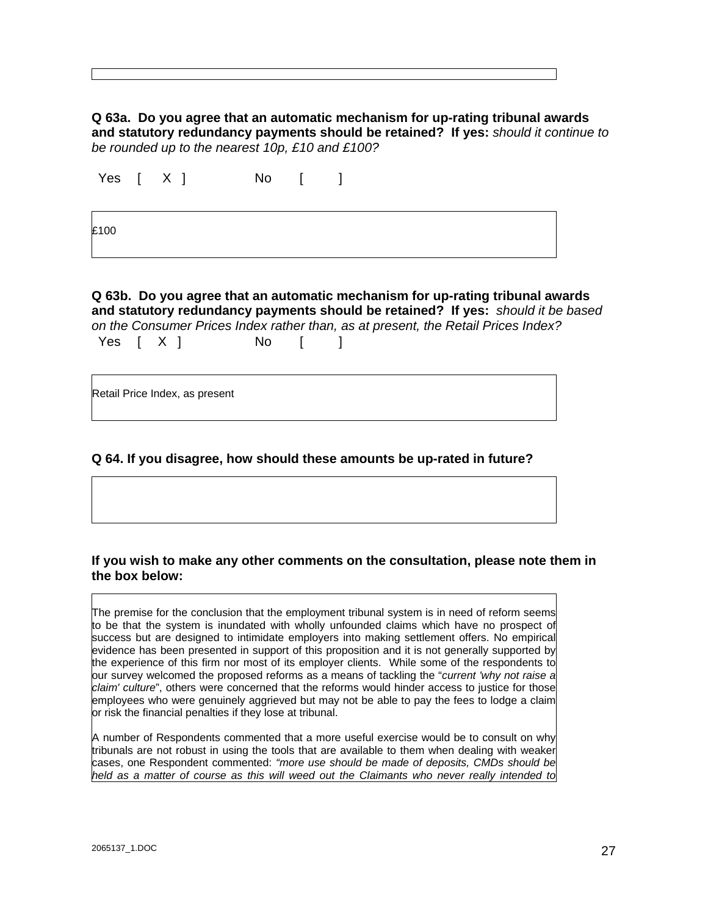**Q 63a. Do you agree that an automatic mechanism for up-rating tribunal awards and statutory redundancy payments should be retained? If yes:** *should it continue to be rounded up to the nearest 10p, £10 and £100?*

|      | Yes [ X ] | No [ ] |  |
|------|-----------|--------|--|
| £100 |           |        |  |

**Q 63b. Do you agree that an automatic mechanism for up-rating tribunal awards and statutory redundancy payments should be retained? If yes:** *should it be based on the Consumer Prices Index rather than, as at present, the Retail Prices Index?* Yes  $[X]$  No  $[$  ]

Retail Price Index, as present

### **Q 64. If you disagree, how should these amounts be up-rated in future?**

### **If you wish to make any other comments on the consultation, please note them in the box below:**

The premise for the conclusion that the employment tribunal system is in need of reform seems to be that the system is inundated with wholly unfounded claims which have no prospect of success but are designed to intimidate employers into making settlement offers. No empirical evidence has been presented in support of this proposition and it is not generally supported by the experience of this firm nor most of its employer clients. While some of the respondents to our survey welcomed the proposed reforms as a means of tackling the "*current 'why not raise a claim' culture*", others were concerned that the reforms would hinder access to justice for those employees who were genuinely aggrieved but may not be able to pay the fees to lodge a claim or risk the financial penalties if they lose at tribunal.

A number of Respondents commented that a more useful exercise would be to consult on why tribunals are not robust in using the tools that are available to them when dealing with weaker cases, one Respondent commented: *"more use should be made of deposits, CMDs should be held as a matter of course as this will weed out the Claimants who never really intended to*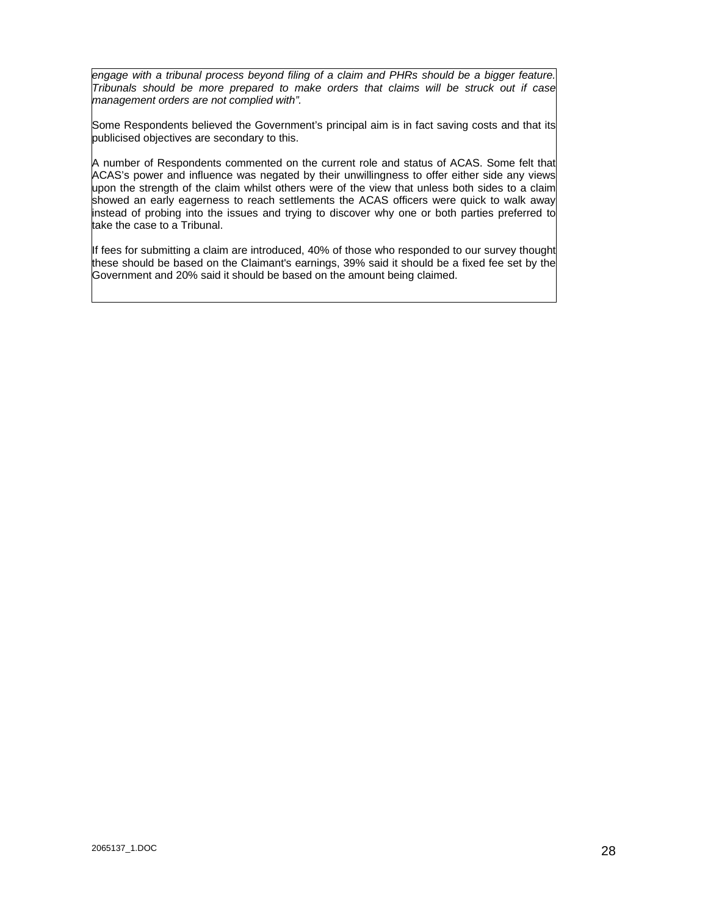*engage with a tribunal process beyond filing of a claim and PHRs should be a bigger feature. Tribunals should be more prepared to make orders that claims will be struck out if case management orders are not complied with".*

Some Respondents believed the Government's principal aim is in fact saving costs and that its publicised objectives are secondary to this.

A number of Respondents commented on the current role and status of ACAS. Some felt that ACAS's power and influence was negated by their unwillingness to offer either side any views upon the strength of the claim whilst others were of the view that unless both sides to a claim showed an early eagerness to reach settlements the ACAS officers were quick to walk away instead of probing into the issues and trying to discover why one or both parties preferred to take the case to a Tribunal.

If fees for submitting a claim are introduced, 40% of those who responded to our survey thought these should be based on the Claimant's earnings, 39% said it should be a fixed fee set by the Government and 20% said it should be based on the amount being claimed.